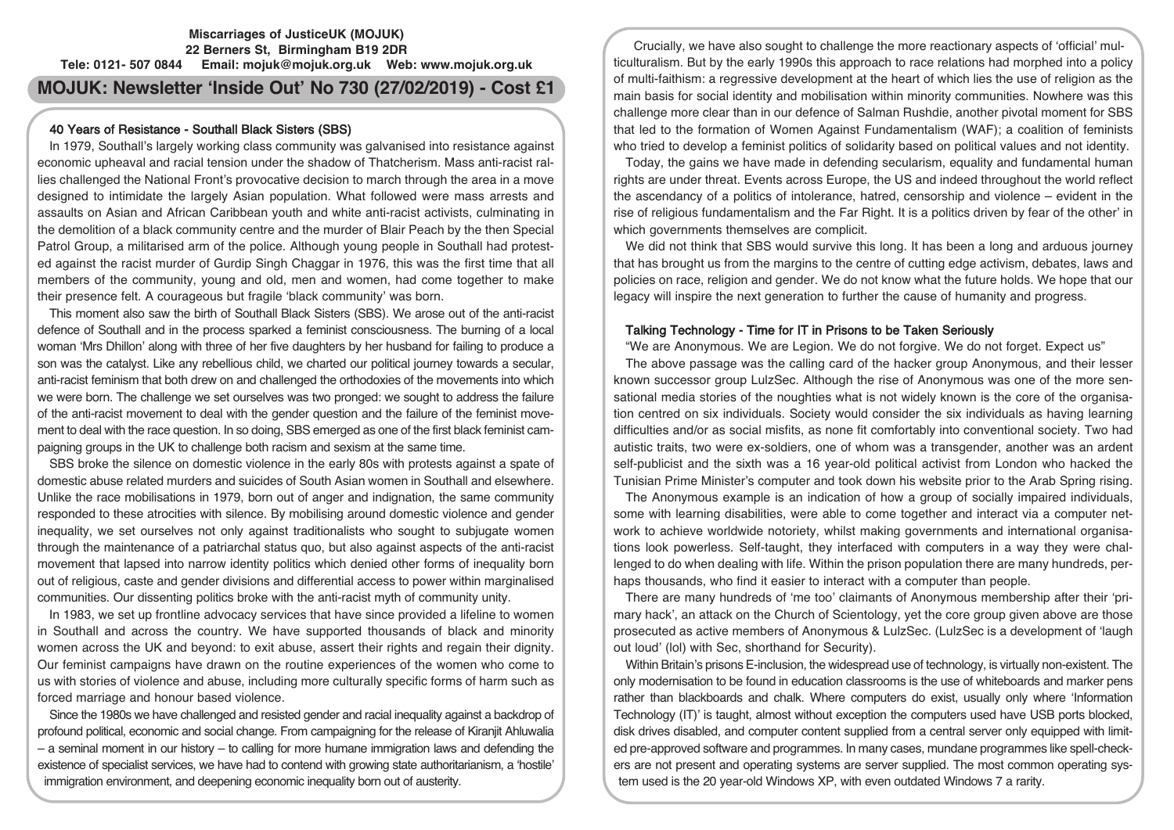## **Miscarriages of JusticeUK (MOJUK) 22 Berners St, Birmingham B19 2DR Tele: 0121- 507 0844 Email: mojuk@mojuk.org.uk Web: www.mojuk.org.uk**

# **MOJUK: Newsletter 'Inside Out' No 730 (27/02/2019) - Cost £1**

## 40 Years of Resistance - Southall Black Sisters (SBS)

In 1979, Southall's largely working class community was galvanised into resistance against economic upheaval and racial tension under the shadow of Thatcherism. Mass anti-racist rallies challenged the National Front's provocative decision to march through the area in a move designed to intimidate the largely Asian population. What followed were mass arrests and assaults on Asian and African Caribbean youth and white anti-racist activists, culminating in the demolition of a black community centre and the murder of Blair Peach by the then Special Patrol Group, a militarised arm of the police. Although young people in Southall had protested against the racist murder of Gurdip Singh Chaggar in 1976, this was the first time that all members of the community, young and old, men and women, had come together to make their presence felt. A courageous but fragile 'black community' was born.

This moment also saw the birth of Southall Black Sisters (SBS). We arose out of the anti-racist defence of Southall and in the process sparked a feminist consciousness. The burning of a local woman 'Mrs Dhillon' along with three of her five daughters by her husband for failing to produce a son was the catalyst. Like any rebellious child, we charted our political journey towards a secular, anti-racist feminism that both drew on and challenged the orthodoxies of the movements into which we were born. The challenge we set ourselves was two pronged: we sought to address the failure of the anti-racist movement to deal with the gender question and the failure of the feminist movement to deal with the race question. In so doing, SBS emerged as one of the first black feminist campaigning groups in the UK to challenge both racism and sexism at the same time.

SBS broke the silence on domestic violence in the early 80s with protests against a spate of domestic abuse related murders and suicides of South Asian women in Southall and elsewhere. Unlike the race mobilisations in 1979, born out of anger and indignation, the same community responded to these atrocities with silence. By mobilising around domestic violence and gender inequality, we set ourselves not only against traditionalists who sought to subjugate women through the maintenance of a patriarchal status quo, but also against aspects of the anti-racist movement that lapsed into narrow identity politics which denied other forms of inequality born out of religious, caste and gender divisions and differential access to power within marginalised communities. Our dissenting politics broke with the anti-racist myth of community unity.

In 1983, we set up frontline advocacy services that have since provided a lifeline to women in Southall and across the country. We have supported thousands of black and minority women across the UK and beyond: to exit abuse, assert their rights and regain their dignity. Our feminist campaigns have drawn on the routine experiences of the women who come to us with stories of violence and abuse, including more culturally specific forms of harm such as forced marriage and honour based violence.

Since the 1980s we have challenged and resisted gender and racial inequality against a backdrop of profound political, economic and social change. From campaigning for the release of Kiranjit Ahluwalia – a seminal moment in our history – to calling for more humane immigration laws and defending the existence of specialist services, we have had to contend with growing state authoritarianism, a 'hostile' immigration environment, and deepening economic inequality born out of austerity.

Crucially, we have also sought to challenge the more reactionary aspects of 'official' multiculturalism. But by the early 1990s this approach to race relations had morphed into a policy of multi-faithism: a regressive development at the heart of which lies the use of religion as the main basis for social identity and mobilisation within minority communities. Nowhere was this challenge more clear than in our defence of Salman Rushdie, another pivotal moment for SBS that led to the formation of Women Against Fundamentalism (WAF); a coalition of feminists who tried to develop a feminist politics of solidarity based on political values and not identity.

Today, the gains we have made in defending secularism, equality and fundamental human rights are under threat. Events across Europe, the US and indeed throughout the world reflect the ascendancy of a politics of intolerance, hatred, censorship and violence – evident in the rise of religious fundamentalism and the Far Right. It is a politics driven by fear of the other' in which governments themselves are complicit.

We did not think that SBS would survive this long. It has been a long and arduous journey that has brought us from the margins to the centre of cutting edge activism, debates, laws and policies on race, religion and gender. We do not know what the future holds. We hope that our legacy will inspire the next generation to further the cause of humanity and progress.

## Talking Technology - Time for IT in Prisons to be Taken Seriously

"We are Anonymous. We are Legion. We do not forgive. We do not forget. Expect us" The above passage was the calling card of the hacker group Anonymous, and their lesser known successor group LulzSec. Although the rise of Anonymous was one of the more sensational media stories of the noughties what is not widely known is the core of the organisation centred on six individuals. Society would consider the six individuals as having learning difficulties and/or as social misfits, as none fit comfortably into conventional society. Two had autistic traits, two were ex-soldiers, one of whom was a transgender, another was an ardent self-publicist and the sixth was a 16 year-old political activist from London who hacked the Tunisian Prime Minister's computer and took down his website prior to the Arab Spring rising.

The Anonymous example is an indication of how a group of socially impaired individuals, some with learning disabilities, were able to come together and interact via a computer network to achieve worldwide notoriety, whilst making governments and international organisations look powerless. Self-taught, they interfaced with computers in a way they were challenged to do when dealing with life. Within the prison population there are many hundreds, perhaps thousands, who find it easier to interact with a computer than people.

There are many hundreds of 'me too' claimants of Anonymous membership after their 'primary hack', an attack on the Church of Scientology, yet the core group given above are those prosecuted as active members of Anonymous & LulzSec. (LulzSec is a development of 'laugh out loud' (lol) with Sec, shorthand for Security).

Within Britain's prisons E-inclusion, the widespread use of technology, is virtually non-existent. The only modernisation to be found in education classrooms is the use of whiteboards and marker pens rather than blackboards and chalk. Where computers do exist, usually only where 'Information Technology (IT)' is taught, almost without exception the computers used have USB ports blocked, disk drives disabled, and computer content supplied from a central server only equipped with limited pre-approved software and programmes. In many cases, mundane programmes like spell-checkers are not present and operating systems are server supplied. The most common operating system used is the 20 year-old Windows XP, with even outdated Windows 7 a rarity.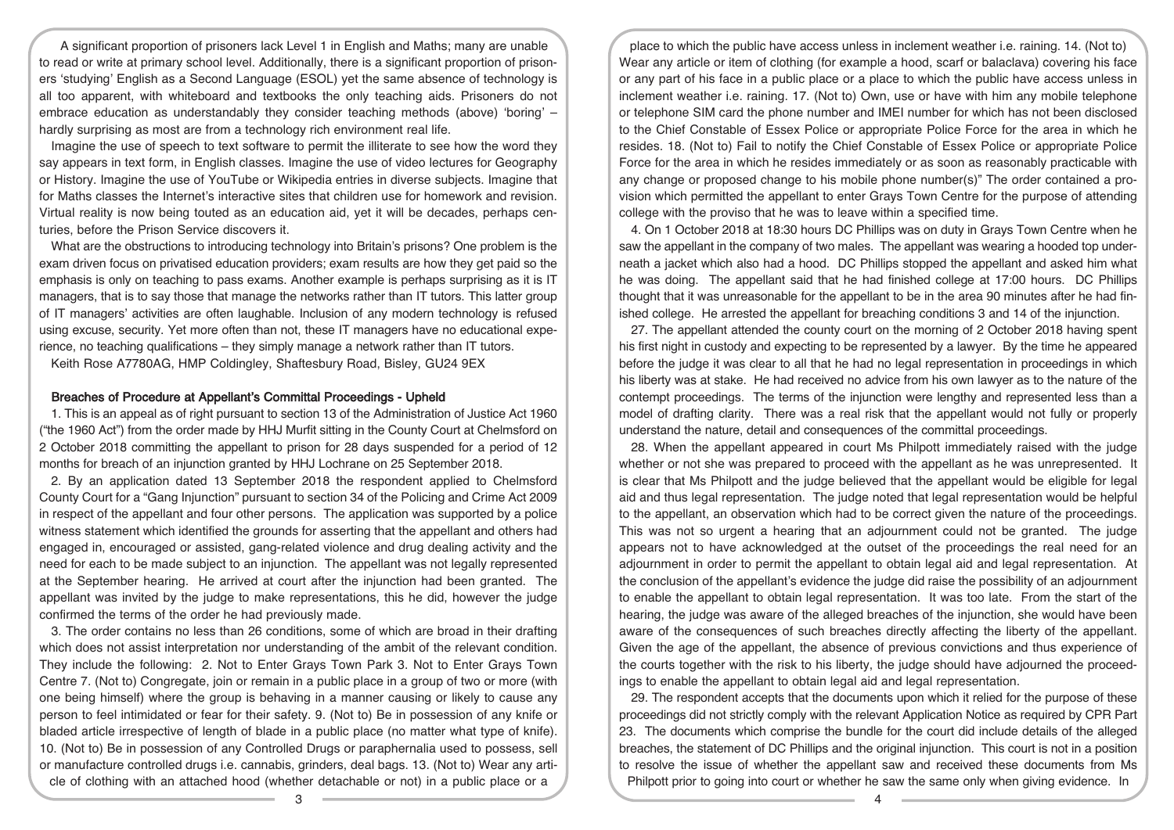A significant proportion of prisoners lack Level 1 in English and Maths; many are unable to read or write at primary school level. Additionally, there is a significant proportion of prisoners 'studying' English as a Second Language (ESOL) yet the same absence of technology is all too apparent, with whiteboard and textbooks the only teaching aids. Prisoners do not embrace education as understandably they consider teaching methods (above) 'boring' – hardly surprising as most are from a technology rich environment real life.

Imagine the use of speech to text software to permit the illiterate to see how the word they say appears in text form, in English classes. Imagine the use of video lectures for Geography or History. Imagine the use of YouTube or Wikipedia entries in diverse subjects. Imagine that for Maths classes the Internet's interactive sites that children use for homework and revision. Virtual reality is now being touted as an education aid, yet it will be decades, perhaps centuries, before the Prison Service discovers it.

What are the obstructions to introducing technology into Britain's prisons? One problem is the exam driven focus on privatised education providers; exam results are how they get paid so the emphasis is only on teaching to pass exams. Another example is perhaps surprising as it is IT managers, that is to say those that manage the networks rather than IT tutors. This latter group of IT managers' activities are often laughable. Inclusion of any modern technology is refused using excuse, security. Yet more often than not, these IT managers have no educational experience, no teaching qualifications – they simply manage a network rather than IT tutors.

Keith Rose A7780AG, HMP Coldingley, Shaftesbury Road, Bisley, GU24 9EX

#### Breaches of Procedure at Appellant's Committal Proceedings - Upheld

1. This is an appeal as of right pursuant to section 13 of the Administration of Justice Act 1960 ("the 1960 Act") from the order made by HHJ Murfit sitting in the County Court at Chelmsford on 2 October 2018 committing the appellant to prison for 28 days suspended for a period of 12 months for breach of an injunction granted by HHJ Lochrane on 25 September 2018.

2. By an application dated 13 September 2018 the respondent applied to Chelmsford County Court for a "Gang Injunction" pursuant to section 34 of the Policing and Crime Act 2009 in respect of the appellant and four other persons. The application was supported by a police witness statement which identified the grounds for asserting that the appellant and others had engaged in, encouraged or assisted, gang-related violence and drug dealing activity and the need for each to be made subject to an injunction. The appellant was not legally represented at the September hearing. He arrived at court after the injunction had been granted. The appellant was invited by the judge to make representations, this he did, however the judge confirmed the terms of the order he had previously made.

3. The order contains no less than 26 conditions, some of which are broad in their drafting which does not assist interpretation nor understanding of the ambit of the relevant condition. They include the following: 2. Not to Enter Grays Town Park 3. Not to Enter Grays Town Centre 7. (Not to) Congregate, join or remain in a public place in a group of two or more (with one being himself) where the group is behaving in a manner causing or likely to cause any person to feel intimidated or fear for their safety. 9. (Not to) Be in possession of any knife or bladed article irrespective of length of blade in a public place (no matter what type of knife). 10. (Not to) Be in possession of any Controlled Drugs or paraphernalia used to possess, sell or manufacture controlled drugs i.e. cannabis, grinders, deal bags. 13. (Not to) Wear any article of clothing with an attached hood (whether detachable or not) in a public place or a

place to which the public have access unless in inclement weather i.e. raining. 14. (Not to) Wear any article or item of clothing (for example a hood, scarf or balaclava) covering his face or any part of his face in a public place or a place to which the public have access unless in inclement weather i.e. raining. 17. (Not to) Own, use or have with him any mobile telephone or telephone SIM card the phone number and IMEI number for which has not been disclosed to the Chief Constable of Essex Police or appropriate Police Force for the area in which he resides. 18. (Not to) Fail to notify the Chief Constable of Essex Police or appropriate Police Force for the area in which he resides immediately or as soon as reasonably practicable with any change or proposed change to his mobile phone number(s)" The order contained a provision which permitted the appellant to enter Grays Town Centre for the purpose of attending college with the proviso that he was to leave within a specified time.

4. On 1 October 2018 at 18:30 hours DC Phillips was on duty in Grays Town Centre when he saw the appellant in the company of two males. The appellant was wearing a hooded top underneath a jacket which also had a hood. DC Phillips stopped the appellant and asked him what he was doing. The appellant said that he had finished college at 17:00 hours. DC Phillips thought that it was unreasonable for the appellant to be in the area 90 minutes after he had finished college. He arrested the appellant for breaching conditions 3 and 14 of the injunction.

27. The appellant attended the county court on the morning of 2 October 2018 having spent his first night in custody and expecting to be represented by a lawyer. By the time he appeared before the judge it was clear to all that he had no legal representation in proceedings in which his liberty was at stake. He had received no advice from his own lawyer as to the nature of the contempt proceedings. The terms of the injunction were lengthy and represented less than a model of drafting clarity. There was a real risk that the appellant would not fully or properly understand the nature, detail and consequences of the committal proceedings.

28. When the appellant appeared in court Ms Philpott immediately raised with the judge whether or not she was prepared to proceed with the appellant as he was unrepresented. It is clear that Ms Philpott and the judge believed that the appellant would be eligible for legal aid and thus legal representation. The judge noted that legal representation would be helpful to the appellant, an observation which had to be correct given the nature of the proceedings. This was not so urgent a hearing that an adjournment could not be granted. The judge appears not to have acknowledged at the outset of the proceedings the real need for an adjournment in order to permit the appellant to obtain legal aid and legal representation. At the conclusion of the appellant's evidence the judge did raise the possibility of an adjournment to enable the appellant to obtain legal representation. It was too late. From the start of the hearing, the judge was aware of the alleged breaches of the injunction, she would have been aware of the consequences of such breaches directly affecting the liberty of the appellant. Given the age of the appellant, the absence of previous convictions and thus experience of the courts together with the risk to his liberty, the judge should have adjourned the proceedings to enable the appellant to obtain legal aid and legal representation.

29. The respondent accepts that the documents upon which it relied for the purpose of these proceedings did not strictly comply with the relevant Application Notice as required by CPR Part 23. The documents which comprise the bundle for the court did include details of the alleged breaches, the statement of DC Phillips and the original injunction. This court is not in a position to resolve the issue of whether the appellant saw and received these documents from Ms Philpott prior to going into court or whether he saw the same only when giving evidence. In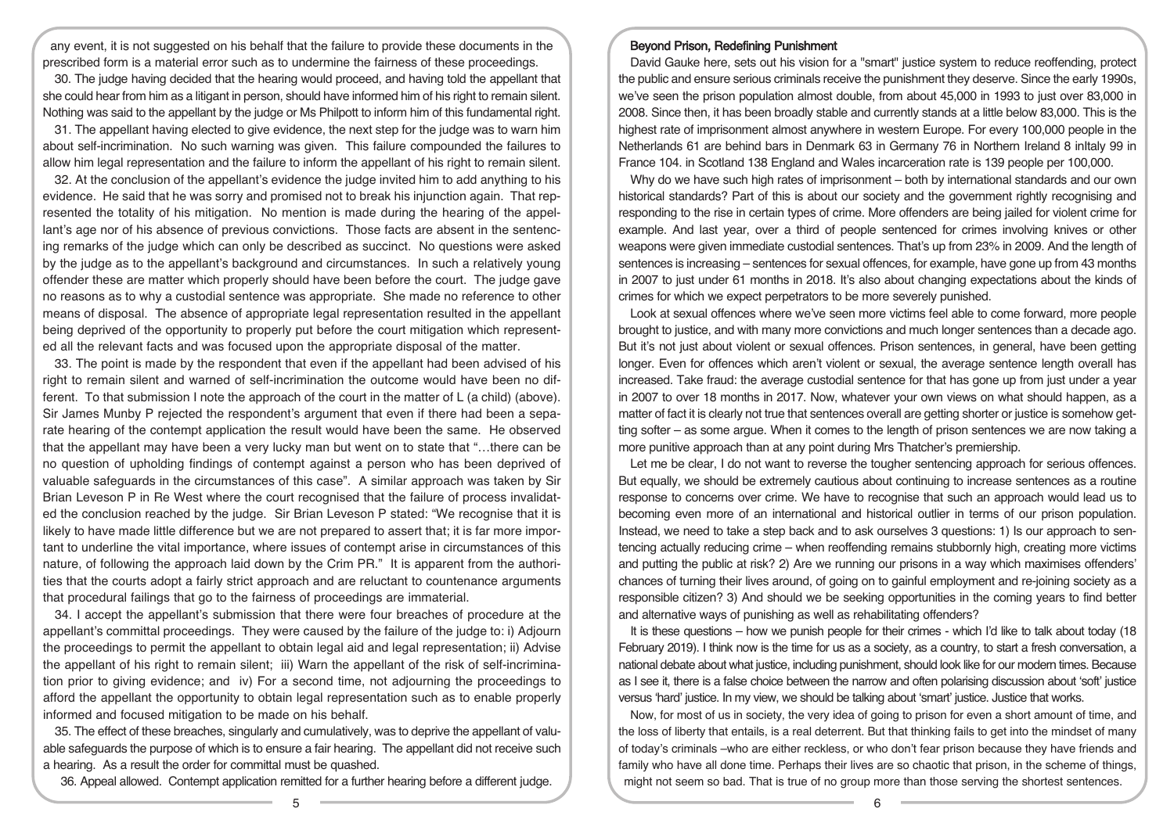any event, it is not suggested on his behalf that the failure to provide these documents in the prescribed form is a material error such as to undermine the fairness of these proceedings.

30. The judge having decided that the hearing would proceed, and having told the appellant that she could hear from him as a litigant in person, should have informed him of his right to remain silent. Nothing was said to the appellant by the judge or Ms Philpott to inform him of this fundamental right.

31. The appellant having elected to give evidence, the next step for the judge was to warn him about self-incrimination. No such warning was given. This failure compounded the failures to allow him legal representation and the failure to inform the appellant of his right to remain silent.

32. At the conclusion of the appellant's evidence the judge invited him to add anything to his evidence. He said that he was sorry and promised not to break his injunction again. That represented the totality of his mitigation. No mention is made during the hearing of the appellant's age nor of his absence of previous convictions. Those facts are absent in the sentencing remarks of the judge which can only be described as succinct. No questions were asked by the judge as to the appellant's background and circumstances. In such a relatively young offender these are matter which properly should have been before the court. The judge gave no reasons as to why a custodial sentence was appropriate. She made no reference to other means of disposal. The absence of appropriate legal representation resulted in the appellant being deprived of the opportunity to properly put before the court mitigation which represented all the relevant facts and was focused upon the appropriate disposal of the matter.

33. The point is made by the respondent that even if the appellant had been advised of his right to remain silent and warned of self-incrimination the outcome would have been no different. To that submission I note the approach of the court in the matter of L (a child) (above). Sir James Munby P rejected the respondent's argument that even if there had been a separate hearing of the contempt application the result would have been the same. He observed that the appellant may have been a very lucky man but went on to state that "…there can be no question of upholding findings of contempt against a person who has been deprived of valuable safeguards in the circumstances of this case". A similar approach was taken by Sir Brian Leveson P in Re West where the court recognised that the failure of process invalidated the conclusion reached by the judge. Sir Brian Leveson P stated: "We recognise that it is likely to have made little difference but we are not prepared to assert that; it is far more important to underline the vital importance, where issues of contempt arise in circumstances of this nature, of following the approach laid down by the Crim PR." It is apparent from the authorities that the courts adopt a fairly strict approach and are reluctant to countenance arguments that procedural failings that go to the fairness of proceedings are immaterial.

34. I accept the appellant's submission that there were four breaches of procedure at the appellant's committal proceedings. They were caused by the failure of the judge to: i) Adjourn the proceedings to permit the appellant to obtain legal aid and legal representation; ii) Advise the appellant of his right to remain silent; iii) Warn the appellant of the risk of self-incrimination prior to giving evidence; and iv) For a second time, not adjourning the proceedings to afford the appellant the opportunity to obtain legal representation such as to enable properly informed and focused mitigation to be made on his behalf.

35. The effect of these breaches, singularly and cumulatively, was to deprive the appellant of valuable safeguards the purpose of which is to ensure a fair hearing. The appellant did not receive such a hearing. As a result the order for committal must be quashed.

36. Appeal allowed. Contempt application remitted for a further hearing before a different judge.

### Beyond Prison, Redefining Punishment

David Gauke here, sets out his vision for a "smart" justice system to reduce reoffending, protect the public and ensure serious criminals receive the punishment they deserve. Since the early 1990s, we've seen the prison population almost double, from about 45,000 in 1993 to just over 83,000 in 2008. Since then, it has been broadly stable and currently stands at a little below 83,000. This is the highest rate of imprisonment almost anywhere in western Europe. For every 100,000 people in the Netherlands 61 are behind bars in Denmark 63 in Germany 76 in Northern Ireland 8 inItaly 99 in France 104. in Scotland 138 England and Wales incarceration rate is 139 people per 100,000.

Why do we have such high rates of imprisonment – both by international standards and our own historical standards? Part of this is about our society and the government rightly recognising and responding to the rise in certain types of crime. More offenders are being jailed for violent crime for example. And last year, over a third of people sentenced for crimes involving knives or other weapons were given immediate custodial sentences. That's up from 23% in 2009. And the length of sentences is increasing – sentences for sexual offences, for example, have gone up from 43 months in 2007 to just under 61 months in 2018. It's also about changing expectations about the kinds of crimes for which we expect perpetrators to be more severely punished.

Look at sexual offences where we've seen more victims feel able to come forward, more people brought to justice, and with many more convictions and much longer sentences than a decade ago. But it's not just about violent or sexual offences. Prison sentences, in general, have been getting longer. Even for offences which aren't violent or sexual, the average sentence length overall has increased. Take fraud: the average custodial sentence for that has gone up from just under a year in 2007 to over 18 months in 2017. Now, whatever your own views on what should happen, as a matter of fact it is clearly not true that sentences overall are getting shorter or justice is somehow getting softer – as some argue. When it comes to the length of prison sentences we are now taking a more punitive approach than at any point during Mrs Thatcher's premiership.

Let me be clear, I do not want to reverse the tougher sentencing approach for serious offences. But equally, we should be extremely cautious about continuing to increase sentences as a routine response to concerns over crime. We have to recognise that such an approach would lead us to becoming even more of an international and historical outlier in terms of our prison population. Instead, we need to take a step back and to ask ourselves 3 questions: 1) Is our approach to sentencing actually reducing crime – when reoffending remains stubbornly high, creating more victims and putting the public at risk? 2) Are we running our prisons in a way which maximises offenders' chances of turning their lives around, of going on to gainful employment and re-joining society as a responsible citizen? 3) And should we be seeking opportunities in the coming years to find better and alternative ways of punishing as well as rehabilitating offenders?

It is these questions – how we punish people for their crimes - which I'd like to talk about today (18 February 2019). I think now is the time for us as a society, as a country, to start a fresh conversation, a national debate about what justice, including punishment, should look like for our modern times. Because as I see it, there is a false choice between the narrow and often polarising discussion about 'soft' justice versus 'hard' justice. In my view, we should be talking about 'smart' justice. Justice that works.

Now, for most of us in society, the very idea of going to prison for even a short amount of time, and the loss of liberty that entails, is a real deterrent. But that thinking fails to get into the mindset of many of today's criminals –who are either reckless, or who don't fear prison because they have friends and family who have all done time. Perhaps their lives are so chaotic that prison, in the scheme of things, might not seem so bad. That is true of no group more than those serving the shortest sentences.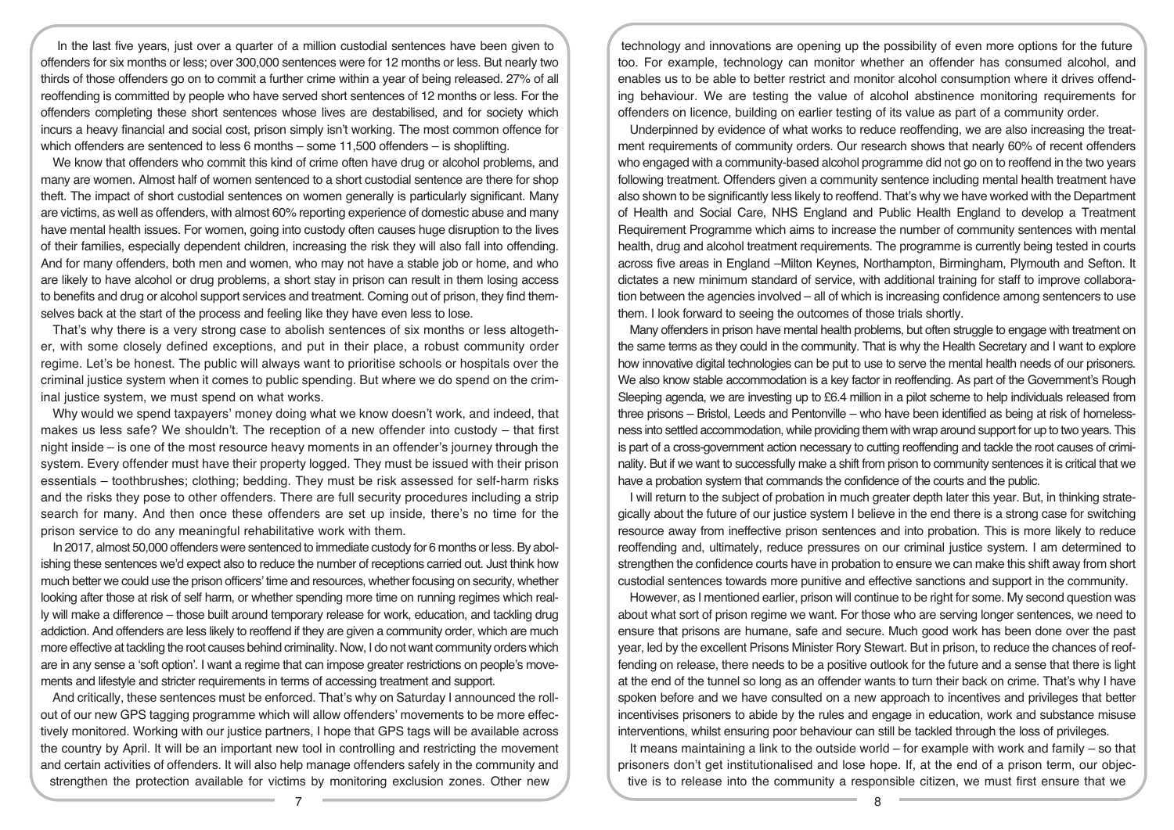In the last five years, just over a quarter of a million custodial sentences have been given to offenders for six months or less; over 300,000 sentences were for 12 months or less. But nearly two thirds of those offenders go on to commit a further crime within a year of being released. 27% of all reoffending is committed by people who have served short sentences of 12 months or less. For the offenders completing these short sentences whose lives are destabilised, and for society which incurs a heavy financial and social cost, prison simply isn't working. The most common offence for which offenders are sentenced to less 6 months – some 11,500 offenders – is shoplifting.

We know that offenders who commit this kind of crime often have drug or alcohol problems, and many are women. Almost half of women sentenced to a short custodial sentence are there for shop theft. The impact of short custodial sentences on women generally is particularly significant. Many are victims, as well as offenders, with almost 60% reporting experience of domestic abuse and many have mental health issues. For women, going into custody often causes huge disruption to the lives of their families, especially dependent children, increasing the risk they will also fall into offending. And for many offenders, both men and women, who may not have a stable job or home, and who are likely to have alcohol or drug problems, a short stay in prison can result in them losing access to benefits and drug or alcohol support services and treatment. Coming out of prison, they find themselves back at the start of the process and feeling like they have even less to lose.

That's why there is a very strong case to abolish sentences of six months or less altogether, with some closely defined exceptions, and put in their place, a robust community order regime. Let's be honest. The public will always want to prioritise schools or hospitals over the criminal justice system when it comes to public spending. But where we do spend on the criminal justice system, we must spend on what works.

Why would we spend taxpayers' money doing what we know doesn't work, and indeed, that makes us less safe? We shouldn't. The reception of a new offender into custody – that first night inside – is one of the most resource heavy moments in an offender's journey through the system. Every offender must have their property logged. They must be issued with their prison essentials – toothbrushes; clothing; bedding. They must be risk assessed for self-harm risks and the risks they pose to other offenders. There are full security procedures including a strip search for many. And then once these offenders are set up inside, there's no time for the prison service to do any meaningful rehabilitative work with them.

In 2017, almost 50,000 offenders were sentenced to immediate custody for 6 months or less. By abolishing these sentences we'd expect also to reduce the number of receptions carried out. Just think how much better we could use the prison officers' time and resources, whether focusing on security, whether looking after those at risk of self harm, or whether spending more time on running regimes which really will make a difference – those built around temporary release for work, education, and tackling drug addiction. And offenders are less likely to reoffend if they are given a community order, which are much more effective at tackling the root causes behind criminality. Now, I do not want community orders which are in any sense a 'soft option'. I want a regime that can impose greater restrictions on people's movements and lifestyle and stricter requirements in terms of accessing treatment and support.

And critically, these sentences must be enforced. That's why on Saturday I announced the rollout of our new GPS tagging programme which will allow offenders' movements to be more effectively monitored. Working with our justice partners, I hope that GPS tags will be available across the country by April. It will be an important new tool in controlling and restricting the movement and certain activities of offenders. It will also help manage offenders safely in the community and strengthen the protection available for victims by monitoring exclusion zones. Other new

technology and innovations are opening up the possibility of even more options for the future too. For example, technology can monitor whether an offender has consumed alcohol, and enables us to be able to better restrict and monitor alcohol consumption where it drives offending behaviour. We are testing the value of alcohol abstinence monitoring requirements for offenders on licence, building on earlier testing of its value as part of a community order.

Underpinned by evidence of what works to reduce reoffending, we are also increasing the treatment requirements of community orders. Our research shows that nearly 60% of recent offenders who engaged with a community-based alcohol programme did not go on to reoffend in the two years following treatment. Offenders given a community sentence including mental health treatment have also shown to be significantly less likely to reoffend. That's why we have worked with the Department of Health and Social Care, NHS England and Public Health England to develop a Treatment Requirement Programme which aims to increase the number of community sentences with mental health, drug and alcohol treatment requirements. The programme is currently being tested in courts across five areas in England –Milton Keynes, Northampton, Birmingham, Plymouth and Sefton. It dictates a new minimum standard of service, with additional training for staff to improve collaboration between the agencies involved – all of which is increasing confidence among sentencers to use them. I look forward to seeing the outcomes of those trials shortly.

Many offenders in prison have mental health problems, but often struggle to engage with treatment on the same terms as they could in the community. That is why the Health Secretary and I want to explore how innovative digital technologies can be put to use to serve the mental health needs of our prisoners. We also know stable accommodation is a key factor in reoffending. As part of the Government's Rough Sleeping agenda, we are investing up to £6.4 million in a pilot scheme to help individuals released from three prisons – Bristol, Leeds and Pentonville – who have been identified as being at risk of homelessness into settled accommodation, while providing them with wrap around support for up to two years. This is part of a cross-government action necessary to cutting reoffending and tackle the root causes of criminality. But if we want to successfully make a shift from prison to community sentences it is critical that we have a probation system that commands the confidence of the courts and the public.

I will return to the subject of probation in much greater depth later this year. But, in thinking strategically about the future of our justice system I believe in the end there is a strong case for switching resource away from ineffective prison sentences and into probation. This is more likely to reduce reoffending and, ultimately, reduce pressures on our criminal justice system. I am determined to strengthen the confidence courts have in probation to ensure we can make this shift away from short custodial sentences towards more punitive and effective sanctions and support in the community.

However, as I mentioned earlier, prison will continue to be right for some. My second question was about what sort of prison regime we want. For those who are serving longer sentences, we need to ensure that prisons are humane, safe and secure. Much good work has been done over the past year, led by the excellent Prisons Minister Rory Stewart. But in prison, to reduce the chances of reoffending on release, there needs to be a positive outlook for the future and a sense that there is light at the end of the tunnel so long as an offender wants to turn their back on crime. That's why I have spoken before and we have consulted on a new approach to incentives and privileges that better incentivises prisoners to abide by the rules and engage in education, work and substance misuse interventions, whilst ensuring poor behaviour can still be tackled through the loss of privileges.

It means maintaining a link to the outside world – for example with work and family – so that prisoners don't get institutionalised and lose hope. If, at the end of a prison term, our objective is to release into the community a responsible citizen, we must first ensure that we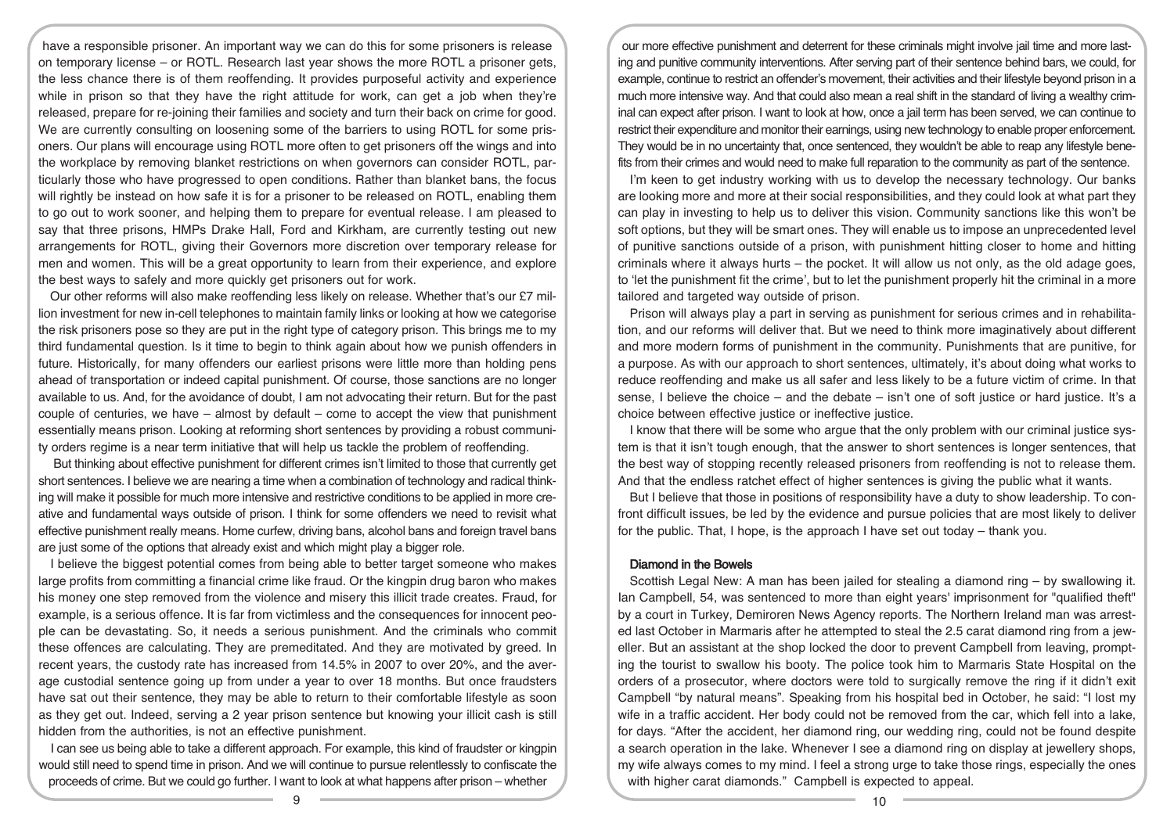have a responsible prisoner. An important way we can do this for some prisoners is release on temporary license – or ROTL. Research last year shows the more ROTL a prisoner gets, the less chance there is of them reoffending. It provides purposeful activity and experience while in prison so that they have the right attitude for work, can get a job when they're released, prepare for re-joining their families and society and turn their back on crime for good. We are currently consulting on loosening some of the barriers to using ROTL for some prisoners. Our plans will encourage using ROTL more often to get prisoners off the wings and into the workplace by removing blanket restrictions on when governors can consider ROTL, particularly those who have progressed to open conditions. Rather than blanket bans, the focus will rightly be instead on how safe it is for a prisoner to be released on ROTL, enabling them to go out to work sooner, and helping them to prepare for eventual release. I am pleased to say that three prisons, HMPs Drake Hall, Ford and Kirkham, are currently testing out new arrangements for ROTL, giving their Governors more discretion over temporary release for men and women. This will be a great opportunity to learn from their experience, and explore the best ways to safely and more quickly get prisoners out for work.

Our other reforms will also make reoffending less likely on release. Whether that's our £7 million investment for new in-cell telephones to maintain family links or looking at how we categorise the risk prisoners pose so they are put in the right type of category prison. This brings me to my third fundamental question. Is it time to begin to think again about how we punish offenders in future. Historically, for many offenders our earliest prisons were little more than holding pens ahead of transportation or indeed capital punishment. Of course, those sanctions are no longer available to us. And, for the avoidance of doubt, I am not advocating their return. But for the past couple of centuries, we have – almost by default – come to accept the view that punishment essentially means prison. Looking at reforming short sentences by providing a robust community orders regime is a near term initiative that will help us tackle the problem of reoffending.

But thinking about effective punishment for different crimes isn't limited to those that currently get short sentences. I believe we are nearing a time when a combination of technology and radical thinking will make it possible for much more intensive and restrictive conditions to be applied in more creative and fundamental ways outside of prison. I think for some offenders we need to revisit what effective punishment really means. Home curfew, driving bans, alcohol bans and foreign travel bans are just some of the options that already exist and which might play a bigger role.

I believe the biggest potential comes from being able to better target someone who makes large profits from committing a financial crime like fraud. Or the kingpin drug baron who makes his money one step removed from the violence and misery this illicit trade creates. Fraud, for example, is a serious offence. It is far from victimless and the consequences for innocent people can be devastating. So, it needs a serious punishment. And the criminals who commit these offences are calculating. They are premeditated. And they are motivated by greed. In recent years, the custody rate has increased from 14.5% in 2007 to over 20%, and the average custodial sentence going up from under a year to over 18 months. But once fraudsters have sat out their sentence, they may be able to return to their comfortable lifestyle as soon as they get out. Indeed, serving a 2 year prison sentence but knowing your illicit cash is still hidden from the authorities, is not an effective punishment.

I can see us being able to take a different approach. For example, this kind of fraudster or kingpin would still need to spend time in prison. And we will continue to pursue relentlessly to confiscate the proceeds of crime. But we could go further. I want to look at what happens after prison – whether

our more effective punishment and deterrent for these criminals might involve jail time and more lasting and punitive community interventions. After serving part of their sentence behind bars, we could, for example, continue to restrict an offender's movement, their activities and their lifestyle beyond prison in a much more intensive way. And that could also mean a real shift in the standard of living a wealthy criminal can expect after prison. I want to look at how, once a jail term has been served, we can continue to restrict their expenditure and monitor their earnings, using new technology to enable proper enforcement. They would be in no uncertainty that, once sentenced, they wouldn't be able to reap any lifestyle benefits from their crimes and would need to make full reparation to the community as part of the sentence.

I'm keen to get industry working with us to develop the necessary technology. Our banks are looking more and more at their social responsibilities, and they could look at what part they can play in investing to help us to deliver this vision. Community sanctions like this won't be soft options, but they will be smart ones. They will enable us to impose an unprecedented level of punitive sanctions outside of a prison, with punishment hitting closer to home and hitting criminals where it always hurts – the pocket. It will allow us not only, as the old adage goes, to 'let the punishment fit the crime', but to let the punishment properly hit the criminal in a more tailored and targeted way outside of prison.

Prison will always play a part in serving as punishment for serious crimes and in rehabilitation, and our reforms will deliver that. But we need to think more imaginatively about different and more modern forms of punishment in the community. Punishments that are punitive, for a purpose. As with our approach to short sentences, ultimately, it's about doing what works to reduce reoffending and make us all safer and less likely to be a future victim of crime. In that sense, I believe the choice – and the debate – isn't one of soft justice or hard justice. It's a choice between effective justice or ineffective justice.

I know that there will be some who argue that the only problem with our criminal justice system is that it isn't tough enough, that the answer to short sentences is longer sentences, that the best way of stopping recently released prisoners from reoffending is not to release them. And that the endless ratchet effect of higher sentences is giving the public what it wants.

But I believe that those in positions of responsibility have a duty to show leadership. To confront difficult issues, be led by the evidence and pursue policies that are most likely to deliver for the public. That, I hope, is the approach I have set out today – thank you.

## Diamond in the Bowels

Scottish Legal New: A man has been jailed for stealing a diamond ring – by swallowing it. Ian Campbell, 54, was sentenced to more than eight years' imprisonment for "qualified theft" by a court in Turkey, Demiroren News Agency reports. The Northern Ireland man was arrested last October in Marmaris after he attempted to steal the 2.5 carat diamond ring from a jeweller. But an assistant at the shop locked the door to prevent Campbell from leaving, prompting the tourist to swallow his booty. The police took him to Marmaris State Hospital on the orders of a prosecutor, where doctors were told to surgically remove the ring if it didn't exit Campbell "by natural means". Speaking from his hospital bed in October, he said: "I lost my wife in a traffic accident. Her body could not be removed from the car, which fell into a lake, for days. "After the accident, her diamond ring, our wedding ring, could not be found despite a search operation in the lake. Whenever I see a diamond ring on display at jewellery shops, my wife always comes to my mind. I feel a strong urge to take those rings, especially the ones with higher carat diamonds." Campbell is expected to appeal.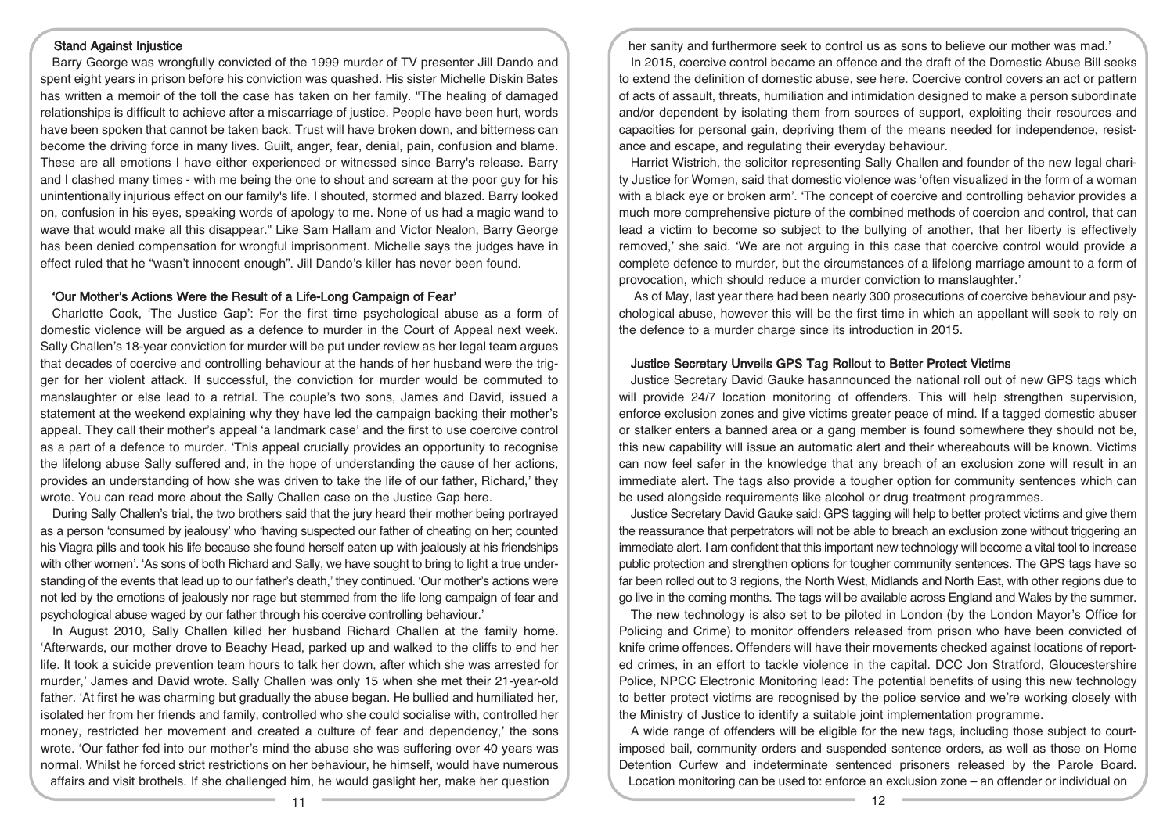## Stand Against Injustice

Barry George was wrongfully convicted of the 1999 murder of TV presenter Jill Dando and spent eight years in prison before his conviction was quashed. His sister Michelle Diskin Bates has written a memoir of the toll the case has taken on her family. "The healing of damaged relationships is difficult to achieve after a miscarriage of justice. People have been hurt, words have been spoken that cannot be taken back. Trust will have broken down, and bitterness can become the driving force in many lives. Guilt, anger, fear, denial, pain, confusion and blame. These are all emotions I have either experienced or witnessed since Barry's release. Barry and I clashed many times - with me being the one to shout and scream at the poor guy for his unintentionally injurious effect on our family's life. I shouted, stormed and blazed. Barry looked on, confusion in his eyes, speaking words of apology to me. None of us had a magic wand to wave that would make all this disappear." Like Sam Hallam and Victor Nealon, Barry George has been denied compensation for wrongful imprisonment. Michelle says the judges have in effect ruled that he "wasn't innocent enough". Jill Dando's killer has never been found.

## 'Our Mother's Actions Were the Result of a Life-Long Campaign of Fear'

Charlotte Cook, 'The Justice Gap': For the first time psychological abuse as a form of domestic violence will be argued as a defence to murder in the Court of Appeal next week. Sally Challen's 18-year conviction for murder will be put under review as her legal team argues that decades of coercive and controlling behaviour at the hands of her husband were the trigger for her violent attack. If successful, the conviction for murder would be commuted to manslaughter or else lead to a retrial. The couple's two sons, James and David, issued a statement at the weekend explaining why they have led the campaign backing their mother's appeal. They call their mother's appeal 'a landmark case' and the first to use coercive control as a part of a defence to murder. 'This appeal crucially provides an opportunity to recognise the lifelong abuse Sally suffered and, in the hope of understanding the cause of her actions, provides an understanding of how she was driven to take the life of our father, Richard,' they wrote. You can read more about the Sally Challen case on the Justice Gap here.

During Sally Challen's trial, the two brothers said that the jury heard their mother being portrayed as a person 'consumed by jealousy' who 'having suspected our father of cheating on her; counted his Viagra pills and took his life because she found herself eaten up with jealously at his friendships with other women'. 'As sons of both Richard and Sally, we have sought to bring to light a true understanding of the events that lead up to our father's death,' they continued. 'Our mother's actions were not led by the emotions of jealously nor rage but stemmed from the life long campaign of fear and psychological abuse waged by our father through his coercive controlling behaviour.'

In August 2010, Sally Challen killed her husband Richard Challen at the family home. 'Afterwards, our mother drove to Beachy Head, parked up and walked to the cliffs to end her life. It took a suicide prevention team hours to talk her down, after which she was arrested for murder,' James and David wrote. Sally Challen was only 15 when she met their 21-year-old father. 'At first he was charming but gradually the abuse began. He bullied and humiliated her, isolated her from her friends and family, controlled who she could socialise with, controlled her money, restricted her movement and created a culture of fear and dependency,' the sons wrote. 'Our father fed into our mother's mind the abuse she was suffering over 40 years was normal. Whilst he forced strict restrictions on her behaviour, he himself, would have numerous affairs and visit brothels. If she challenged him, he would gaslight her, make her question

her sanity and furthermore seek to control us as sons to believe our mother was mad.'

In 2015, coercive control became an offence and the draft of the Domestic Abuse Bill seeks to extend the definition of domestic abuse, see here. Coercive control covers an act or pattern of acts of assault, threats, humiliation and intimidation designed to make a person subordinate and/or dependent by isolating them from sources of support, exploiting their resources and capacities for personal gain, depriving them of the means needed for independence, resistance and escape, and regulating their everyday behaviour.

Harriet Wistrich, the solicitor representing Sally Challen and founder of the new legal charity Justice for Women, said that domestic violence was 'often visualized in the form of a woman with a black eye or broken arm'. 'The concept of coercive and controlling behavior provides a much more comprehensive picture of the combined methods of coercion and control, that can lead a victim to become so subject to the bullying of another, that her liberty is effectively removed,' she said. 'We are not arguing in this case that coercive control would provide a complete defence to murder, but the circumstances of a lifelong marriage amount to a form of provocation, which should reduce a murder conviction to manslaughter.'

As of May, last year there had been nearly 300 prosecutions of coercive behaviour and psychological abuse, however this will be the first time in which an appellant will seek to rely on the defence to a murder charge since its introduction in 2015.

## Justice Secretary Unveils GPS Tag Rollout to Better Protect Victims

Justice Secretary David Gauke hasannounced the national roll out of new GPS tags which will provide 24/7 location monitoring of offenders. This will help strengthen supervision, enforce exclusion zones and give victims greater peace of mind. If a tagged domestic abuser or stalker enters a banned area or a gang member is found somewhere they should not be, this new capability will issue an automatic alert and their whereabouts will be known. Victims can now feel safer in the knowledge that any breach of an exclusion zone will result in an immediate alert. The tags also provide a tougher option for community sentences which can be used alongside requirements like alcohol or drug treatment programmes.

Justice Secretary David Gauke said: GPS tagging will help to better protect victims and give them the reassurance that perpetrators will not be able to breach an exclusion zone without triggering an immediate alert. I am confident that this important new technology will become a vital tool to increase public protection and strengthen options for tougher community sentences. The GPS tags have so far been rolled out to 3 regions, the North West, Midlands and North East, with other regions due to go live in the coming months. The tags will be available across England and Wales by the summer.

The new technology is also set to be piloted in London (by the London Mayor's Office for Policing and Crime) to monitor offenders released from prison who have been convicted of knife crime offences. Offenders will have their movements checked against locations of reported crimes, in an effort to tackle violence in the capital. DCC Jon Stratford, Gloucestershire Police, NPCC Electronic Monitoring lead: The potential benefits of using this new technology to better protect victims are recognised by the police service and we're working closely with the Ministry of Justice to identify a suitable joint implementation programme.

A wide range of offenders will be eligible for the new tags, including those subject to courtimposed bail, community orders and suspended sentence orders, as well as those on Home Detention Curfew and indeterminate sentenced prisoners released by the Parole Board. Location monitoring can be used to: enforce an exclusion zone – an offender or individual on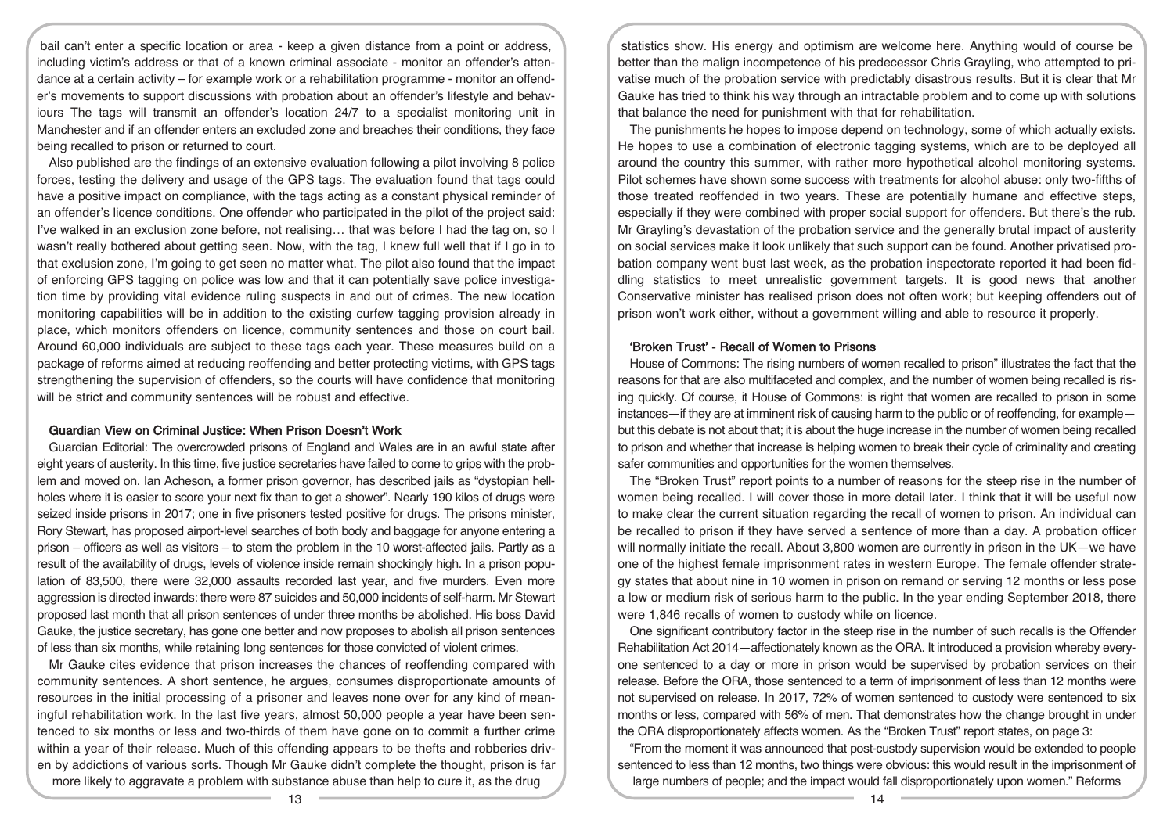bail can't enter a specific location or area - keep a given distance from a point or address, including victim's address or that of a known criminal associate - monitor an offender's attendance at a certain activity – for example work or a rehabilitation programme - monitor an offender's movements to support discussions with probation about an offender's lifestyle and behaviours The tags will transmit an offender's location 24/7 to a specialist monitoring unit in Manchester and if an offender enters an excluded zone and breaches their conditions, they face being recalled to prison or returned to court.

Also published are the findings of an extensive evaluation following a pilot involving 8 police forces, testing the delivery and usage of the GPS tags. The evaluation found that tags could have a positive impact on compliance, with the tags acting as a constant physical reminder of an offender's licence conditions. One offender who participated in the pilot of the project said: I've walked in an exclusion zone before, not realising… that was before I had the tag on, so I wasn't really bothered about getting seen. Now, with the tag, I knew full well that if I go in to that exclusion zone, I'm going to get seen no matter what. The pilot also found that the impact of enforcing GPS tagging on police was low and that it can potentially save police investigation time by providing vital evidence ruling suspects in and out of crimes. The new location monitoring capabilities will be in addition to the existing curfew tagging provision already in place, which monitors offenders on licence, community sentences and those on court bail. Around 60,000 individuals are subject to these tags each year. These measures build on a package of reforms aimed at reducing reoffending and better protecting victims, with GPS tags strengthening the supervision of offenders, so the courts will have confidence that monitoring will be strict and community sentences will be robust and effective.

#### Guardian View on Criminal Justice: When Prison Doesn't Work

Guardian Editorial: The overcrowded prisons of England and Wales are in an awful state after eight years of austerity. In this time, five justice secretaries have failed to come to grips with the problem and moved on. Ian Acheson, a former prison governor, has described jails as "dystopian hellholes where it is easier to score your next fix than to get a shower". Nearly 190 kilos of drugs were seized inside prisons in 2017; one in five prisoners tested positive for drugs. The prisons minister, Rory Stewart, has proposed airport-level searches of both body and baggage for anyone entering a prison – officers as well as visitors – to stem the problem in the 10 worst-affected jails. Partly as a result of the availability of drugs, levels of violence inside remain shockingly high. In a prison population of 83,500, there were 32,000 assaults recorded last year, and five murders. Even more aggression is directed inwards: there were 87 suicides and 50,000 incidents of self-harm. Mr Stewart proposed last month that all prison sentences of under three months be abolished. His boss David Gauke, the justice secretary, has gone one better and now proposes to abolish all prison sentences of less than six months, while retaining long sentences for those convicted of violent crimes.

Mr Gauke cites evidence that prison increases the chances of reoffending compared with community sentences. A short sentence, he argues, consumes disproportionate amounts of resources in the initial processing of a prisoner and leaves none over for any kind of meaningful rehabilitation work. In the last five years, almost 50,000 people a year have been sentenced to six months or less and two-thirds of them have gone on to commit a further crime within a year of their release. Much of this offending appears to be thefts and robberies driven by addictions of various sorts. Though Mr Gauke didn't complete the thought, prison is far more likely to aggravate a problem with substance abuse than help to cure it, as the drug

statistics show. His energy and optimism are welcome here. Anything would of course be better than the malign incompetence of his predecessor Chris Grayling, who attempted to privatise much of the probation service with predictably disastrous results. But it is clear that Mr Gauke has tried to think his way through an intractable problem and to come up with solutions that balance the need for punishment with that for rehabilitation.

The punishments he hopes to impose depend on technology, some of which actually exists. He hopes to use a combination of electronic tagging systems, which are to be deployed all around the country this summer, with rather more hypothetical alcohol monitoring systems. Pilot schemes have shown some success with treatments for alcohol abuse: only two-fifths of those treated reoffended in two years. These are potentially humane and effective steps, especially if they were combined with proper social support for offenders. But there's the rub. Mr Grayling's devastation of the probation service and the generally brutal impact of austerity on social services make it look unlikely that such support can be found. Another privatised probation company went bust last week, as the probation inspectorate reported it had been fiddling statistics to meet unrealistic government targets. It is good news that another Conservative minister has realised prison does not often work; but keeping offenders out of prison won't work either, without a government willing and able to resource it properly.

### 'Broken Trust' - Recall of Women to Prisons

House of Commons: The rising numbers of women recalled to prison" illustrates the fact that the reasons for that are also multifaceted and complex, and the number of women being recalled is rising quickly. Of course, it House of Commons: is right that women are recalled to prison in some instances—if they are at imminent risk of causing harm to the public or of reoffending, for example but this debate is not about that; it is about the huge increase in the number of women being recalled to prison and whether that increase is helping women to break their cycle of criminality and creating safer communities and opportunities for the women themselves.

The "Broken Trust" report points to a number of reasons for the steep rise in the number of women being recalled. I will cover those in more detail later. I think that it will be useful now to make clear the current situation regarding the recall of women to prison. An individual can be recalled to prison if they have served a sentence of more than a day. A probation officer will normally initiate the recall. About 3,800 women are currently in prison in the UK—we have one of the highest female imprisonment rates in western Europe. The female offender strategy states that about nine in 10 women in prison on remand or serving 12 months or less pose a low or medium risk of serious harm to the public. In the year ending September 2018, there were 1,846 recalls of women to custody while on licence.

One significant contributory factor in the steep rise in the number of such recalls is the Offender Rehabilitation Act 2014—affectionately known as the ORA. It introduced a provision whereby everyone sentenced to a day or more in prison would be supervised by probation services on their release. Before the ORA, those sentenced to a term of imprisonment of less than 12 months were not supervised on release. In 2017, 72% of women sentenced to custody were sentenced to six months or less, compared with 56% of men. That demonstrates how the change brought in under the ORA disproportionately affects women. As the "Broken Trust" report states, on page 3:

"From the moment it was announced that post-custody supervision would be extended to people sentenced to less than 12 months, two things were obvious: this would result in the imprisonment of large numbers of people; and the impact would fall disproportionately upon women." Reforms